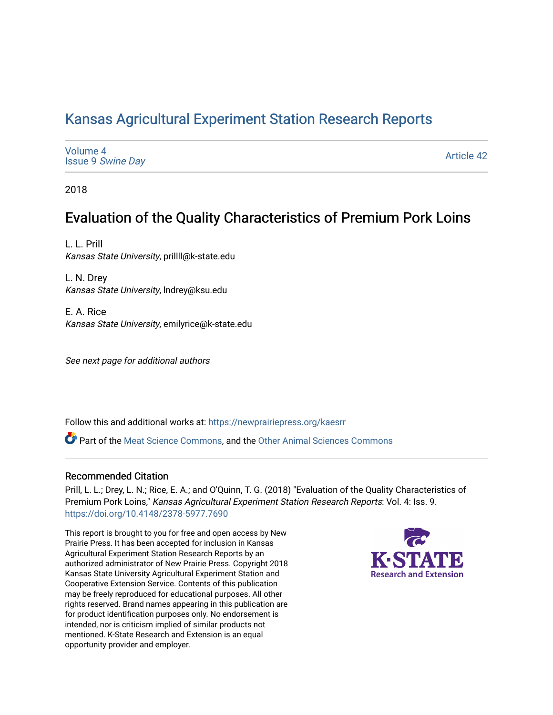# [Kansas Agricultural Experiment Station Research Reports](https://newprairiepress.org/kaesrr)

| Volume 4<br><b>Issue 9 Swine Day</b> | <b>Article 42</b> |
|--------------------------------------|-------------------|
|--------------------------------------|-------------------|

2018

# Evaluation of the Quality Characteristics of Premium Pork Loins

L. L. Prill Kansas State University, prillll@k-state.edu

L. N. Drey Kansas State University, lndrey@ksu.edu

E. A. Rice Kansas State University, emilyrice@k-state.edu

See next page for additional authors

Follow this and additional works at: [https://newprairiepress.org/kaesrr](https://newprairiepress.org/kaesrr?utm_source=newprairiepress.org%2Fkaesrr%2Fvol4%2Fiss9%2F42&utm_medium=PDF&utm_campaign=PDFCoverPages) 

Part of the [Meat Science Commons,](http://network.bepress.com/hgg/discipline/1301?utm_source=newprairiepress.org%2Fkaesrr%2Fvol4%2Fiss9%2F42&utm_medium=PDF&utm_campaign=PDFCoverPages) and the [Other Animal Sciences Commons](http://network.bepress.com/hgg/discipline/82?utm_source=newprairiepress.org%2Fkaesrr%2Fvol4%2Fiss9%2F42&utm_medium=PDF&utm_campaign=PDFCoverPages)

### Recommended Citation

Prill, L. L.; Drey, L. N.; Rice, E. A.; and O'Quinn, T. G. (2018) "Evaluation of the Quality Characteristics of Premium Pork Loins," Kansas Agricultural Experiment Station Research Reports: Vol. 4: Iss. 9. <https://doi.org/10.4148/2378-5977.7690>

This report is brought to you for free and open access by New Prairie Press. It has been accepted for inclusion in Kansas Agricultural Experiment Station Research Reports by an authorized administrator of New Prairie Press. Copyright 2018 Kansas State University Agricultural Experiment Station and Cooperative Extension Service. Contents of this publication may be freely reproduced for educational purposes. All other rights reserved. Brand names appearing in this publication are for product identification purposes only. No endorsement is intended, nor is criticism implied of similar products not mentioned. K-State Research and Extension is an equal opportunity provider and employer.

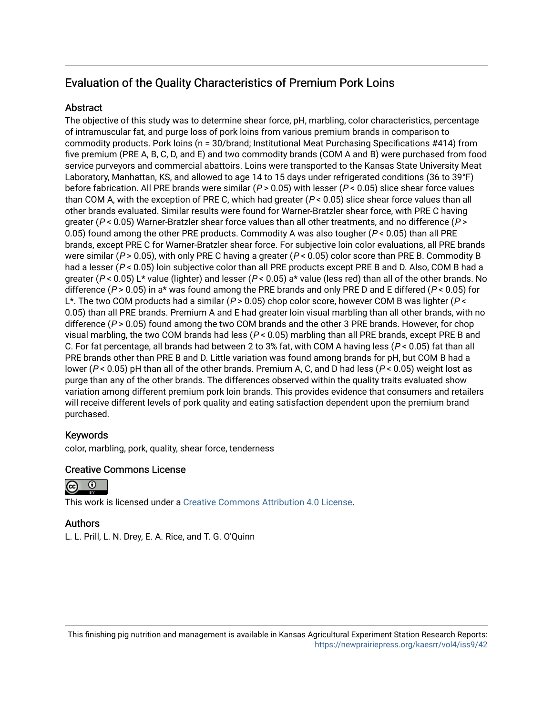## Evaluation of the Quality Characteristics of Premium Pork Loins

### **Abstract**

The objective of this study was to determine shear force, pH, marbling, color characteristics, percentage of intramuscular fat, and purge loss of pork loins from various premium brands in comparison to commodity products. Pork loins (n = 30/brand; Institutional Meat Purchasing Specifications #414) from five premium (PRE A, B, C, D, and E) and two commodity brands (COM A and B) were purchased from food service purveyors and commercial abattoirs. Loins were transported to the Kansas State University Meat Laboratory, Manhattan, KS, and allowed to age 14 to 15 days under refrigerated conditions (36 to 39°F) before fabrication. All PRE brands were similar ( $P > 0.05$ ) with lesser ( $P < 0.05$ ) slice shear force values than COM A, with the exception of PRE C, which had greater ( $P < 0.05$ ) slice shear force values than all other brands evaluated. Similar results were found for Warner-Bratzler shear force, with PRE C having greater ( $P < 0.05$ ) Warner-Bratzler shear force values than all other treatments, and no difference ( $P > 0.05$ ) 0.05) found among the other PRE products. Commodity A was also tougher ( $P < 0.05$ ) than all PRE brands, except PRE C for Warner-Bratzler shear force. For subjective loin color evaluations, all PRE brands were similar ( $P > 0.05$ ), with only PRE C having a greater ( $P < 0.05$ ) color score than PRE B. Commodity B had a lesser ( $P < 0.05$ ) loin subjective color than all PRE products except PRE B and D. Also, COM B had a greater ( $P < 0.05$ ) L\* value (lighter) and lesser ( $P < 0.05$ ) a\* value (less red) than all of the other brands. No difference ( $P > 0.05$ ) in a\* was found among the PRE brands and only PRE D and E differed ( $P < 0.05$ ) for L<sup>\*</sup>. The two COM products had a similar ( $P > 0.05$ ) chop color score, however COM B was lighter ( $P <$ 0.05) than all PRE brands. Premium A and E had greater loin visual marbling than all other brands, with no difference ( $P > 0.05$ ) found among the two COM brands and the other 3 PRE brands. However, for chop visual marbling, the two COM brands had less ( $P < 0.05$ ) marbling than all PRE brands, except PRE B and C. For fat percentage, all brands had between 2 to 3% fat, with COM A having less ( $P < 0.05$ ) fat than all PRE brands other than PRE B and D. Little variation was found among brands for pH, but COM B had a lower ( $P < 0.05$ ) pH than all of the other brands. Premium A, C, and D had less ( $P < 0.05$ ) weight lost as purge than any of the other brands. The differences observed within the quality traits evaluated show variation among different premium pork loin brands. This provides evidence that consumers and retailers will receive different levels of pork quality and eating satisfaction dependent upon the premium brand purchased.

### Keywords

color, marbling, pork, quality, shear force, tenderness

### Creative Commons License



This work is licensed under a [Creative Commons Attribution 4.0 License](https://creativecommons.org/licenses/by/4.0/).

### Authors

L. L. Prill, L. N. Drey, E. A. Rice, and T. G. O'Quinn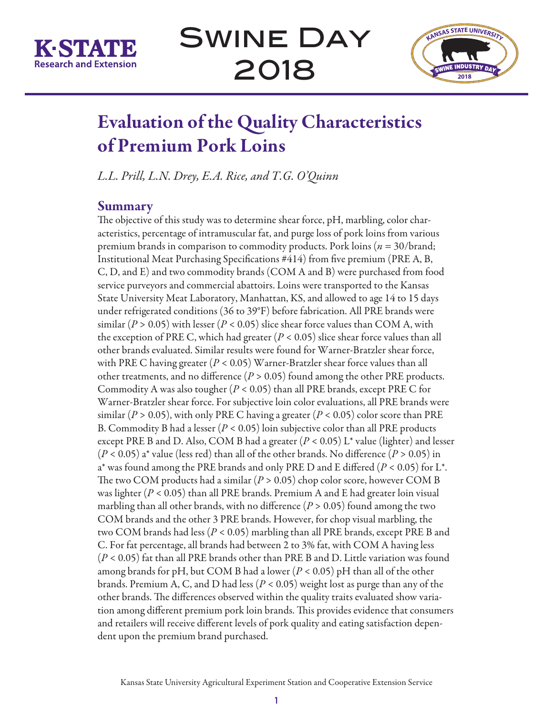



# Evaluation of the Quality Characteristics of Premium Pork Loins

*L.L. Prill, L.N. Drey, E.A. Rice, and T.G. O'Quinn*

## Summary

The objective of this study was to determine shear force, pH, marbling, color characteristics, percentage of intramuscular fat, and purge loss of pork loins from various premium brands in comparison to commodity products. Pork loins (*n* = 30/brand; Institutional Meat Purchasing Specifications #414) from five premium (PRE A, B, C, D, and E) and two commodity brands (COM A and B) were purchased from food service purveyors and commercial abattoirs. Loins were transported to the Kansas State University Meat Laboratory, Manhattan, KS, and allowed to age 14 to 15 days under refrigerated conditions (36 to 39°F) before fabrication. All PRE brands were similar ( $P > 0.05$ ) with lesser ( $P < 0.05$ ) slice shear force values than COM A, with the exception of PRE C, which had greater  $(P < 0.05)$  slice shear force values than all other brands evaluated. Similar results were found for Warner-Bratzler shear force, with PRE C having greater (*P* < 0.05) Warner-Bratzler shear force values than all other treatments, and no difference  $(P > 0.05)$  found among the other PRE products. Commodity A was also tougher (*P* < 0.05) than all PRE brands, except PRE C for Warner-Bratzler shear force. For subjective loin color evaluations, all PRE brands were similar ( $P > 0.05$ ), with only PRE C having a greater ( $P < 0.05$ ) color score than PRE B. Commodity B had a lesser (*P* < 0.05) loin subjective color than all PRE products except PRE B and D. Also, COM B had a greater (*P* < 0.05) L\* value (lighter) and lesser (*P* < 0.05) a\* value (less red) than all of the other brands. No difference (*P* > 0.05) in a\* was found among the PRE brands and only PRE D and E differed (*P* < 0.05) for L\*. The two COM products had a similar  $(P > 0.05)$  chop color score, however COM B was lighter (*P* < 0.05) than all PRE brands. Premium A and E had greater loin visual marbling than all other brands, with no difference (*P* > 0.05) found among the two COM brands and the other 3 PRE brands. However, for chop visual marbling, the two COM brands had less (*P* < 0.05) marbling than all PRE brands, except PRE B and C. For fat percentage, all brands had between 2 to 3% fat, with COM A having less (*P* < 0.05) fat than all PRE brands other than PRE B and D. Little variation was found among brands for pH, but COM B had a lower (*P* < 0.05) pH than all of the other brands. Premium A, C, and D had less (*P* < 0.05) weight lost as purge than any of the other brands. The differences observed within the quality traits evaluated show variation among different premium pork loin brands. This provides evidence that consumers and retailers will receive different levels of pork quality and eating satisfaction dependent upon the premium brand purchased.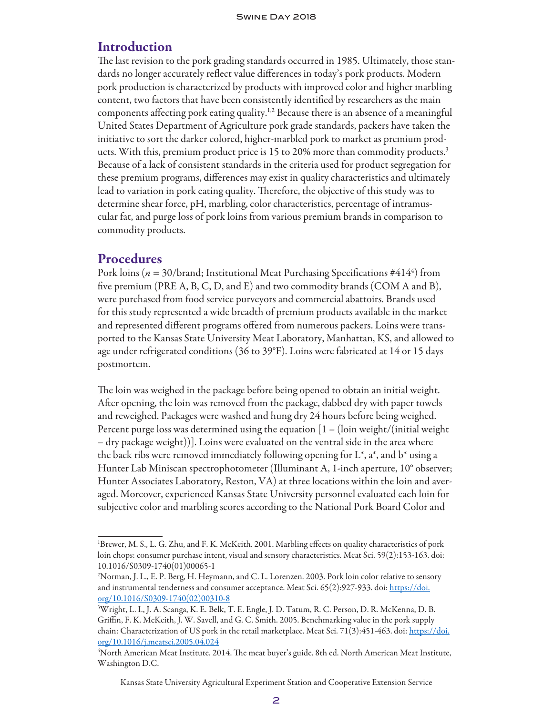## **Introduction**

The last revision to the pork grading standards occurred in 1985. Ultimately, those standards no longer accurately reflect value differences in today's pork products. Modern pork production is characterized by products with improved color and higher marbling content, two factors that have been consistently identified by researchers as the main components affecting pork eating quality.1,2 Because there is an absence of a meaningful United States Department of Agriculture pork grade standards, packers have taken the initiative to sort the darker colored, higher-marbled pork to market as premium products. With this, premium product price is 15 to 20% more than commodity products.<sup>3</sup> Because of a lack of consistent standards in the criteria used for product segregation for these premium programs, differences may exist in quality characteristics and ultimately lead to variation in pork eating quality. Therefore, the objective of this study was to determine shear force, pH, marbling, color characteristics, percentage of intramuscular fat, and purge loss of pork loins from various premium brands in comparison to commodity products.

## **Procedures**

Pork loins ( $n = 30$ /brand; Institutional Meat Purchasing Specifications #414<sup>4</sup>) from five premium (PRE A, B, C, D, and E) and two commodity brands (COM A and B), were purchased from food service purveyors and commercial abattoirs. Brands used for this study represented a wide breadth of premium products available in the market and represented different programs offered from numerous packers. Loins were transported to the Kansas State University Meat Laboratory, Manhattan, KS, and allowed to age under refrigerated conditions (36 to 39°F). Loins were fabricated at 14 or 15 days postmortem.

The loin was weighed in the package before being opened to obtain an initial weight. After opening, the loin was removed from the package, dabbed dry with paper towels and reweighed. Packages were washed and hung dry 24 hours before being weighed. Percent purge loss was determined using the equation  $[1 - (loin weight/ (initial weight$ – dry package weight))]. Loins were evaluated on the ventral side in the area where the back ribs were removed immediately following opening for  $L^*$ ,  $a^*$ , and  $b^*$  using a Hunter Lab Miniscan spectrophotometer (Illuminant A, 1-inch aperture, 10° observer; Hunter Associates Laboratory, Reston, VA) at three locations within the loin and averaged. Moreover, experienced Kansas State University personnel evaluated each loin for subjective color and marbling scores according to the National Pork Board Color and

Kansas State University Agricultural Experiment Station and Cooperative Extension Service

<sup>1</sup> Brewer, M. S., L. G. Zhu, and F. K. McKeith. 2001. Marbling effects on quality characteristics of pork loin chops: consumer purchase intent, visual and sensory characteristics. Meat Sci. 59(2):153-163. doi: 10.1016/S0309-1740(01)00065-1

<sup>2</sup> Norman, J. L., E. P. Berg, H. Heymann, and C. L. Lorenzen. 2003. Pork loin color relative to sensory and instrumental tenderness and consumer acceptance. Meat Sci. 65(2):927-933. doi: https://doi. org/10.1016/S0309-1740(02)00310-8

<sup>3</sup> Wright, L. I., J. A. Scanga, K. E. Belk, T. E. Engle, J. D. Tatum, R. C. Person, D. R. McKenna, D. B. Griffin, F. K. McKeith, J. W. Savell, and G. C. Smith. 2005. Benchmarking value in the pork supply chain: Characterization of US pork in the retail marketplace. Meat Sci. 71(3):451-463. doi: https://doi. org/10.1016/j.meatsci.2005.04.024

<sup>4</sup> North American Meat Institute. 2014. The meat buyer's guide. 8th ed. North American Meat Institute, Washington D.C.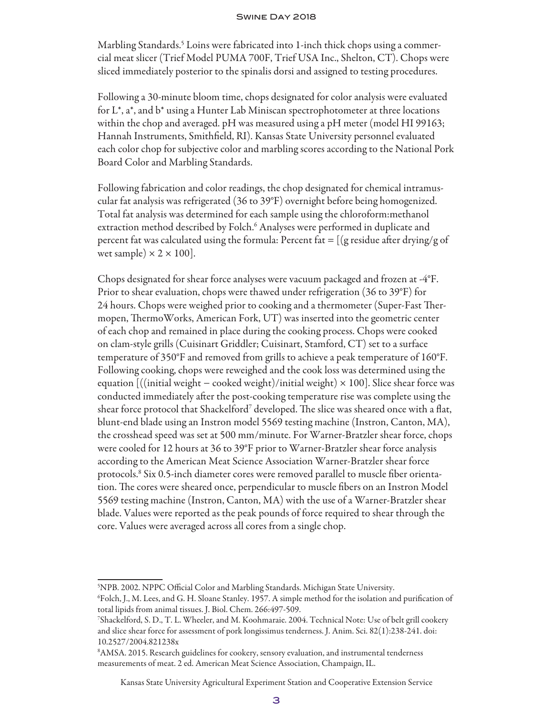Marbling Standards.5 Loins were fabricated into 1-inch thick chops using a commercial meat slicer (Trief Model PUMA 700F, Trief USA Inc., Shelton, CT). Chops were sliced immediately posterior to the spinalis dorsi and assigned to testing procedures.

Following a 30-minute bloom time, chops designated for color analysis were evaluated for L\*, a\*, and b\* using a Hunter Lab Miniscan spectrophotometer at three locations within the chop and averaged. pH was measured using a pH meter (model HI 99163; Hannah Instruments, Smithfield, RI). Kansas State University personnel evaluated each color chop for subjective color and marbling scores according to the National Pork Board Color and Marbling Standards.

Following fabrication and color readings, the chop designated for chemical intramuscular fat analysis was refrigerated (36 to 39°F) overnight before being homogenized. Total fat analysis was determined for each sample using the chloroform:methanol extraction method described by Folch.<sup>6</sup> Analyses were performed in duplicate and percent fat was calculated using the formula: Percent fat  $=$  [(g residue after drying/g of wet sample)  $\times$  2  $\times$  100].

Chops designated for shear force analyses were vacuum packaged and frozen at -4°F. Prior to shear evaluation, chops were thawed under refrigeration (36 to 39°F) for 24 hours. Chops were weighed prior to cooking and a thermometer (Super-Fast Thermopen, ThermoWorks, American Fork, UT) was inserted into the geometric center of each chop and remained in place during the cooking process. Chops were cooked on clam-style grills (Cuisinart Griddler; Cuisinart, Stamford, CT) set to a surface temperature of 350°F and removed from grills to achieve a peak temperature of 160°F. Following cooking, chops were reweighed and the cook loss was determined using the equation  $\left[\frac{(\text{initial weight} - \text{clocked weight})}{\text{initial weight}}\right] \times 100\right]$ . Slice shear force was conducted immediately after the post-cooking temperature rise was complete using the shear force protocol that Shackelford $^7$  developed. The slice was sheared once with a flat, blunt-end blade using an Instron model 5569 testing machine (Instron, Canton, MA), the crosshead speed was set at 500 mm/minute. For Warner-Bratzler shear force, chops were cooled for 12 hours at 36 to 39°F prior to Warner-Bratzler shear force analysis according to the American Meat Science Association Warner-Bratzler shear force protocols.8 Six 0.5-inch diameter cores were removed parallel to muscle fiber orientation. The cores were sheared once, perpendicular to muscle fibers on an Instron Model 5569 testing machine (Instron, Canton, MA) with the use of a Warner-Bratzler shear blade. Values were reported as the peak pounds of force required to shear through the core. Values were averaged across all cores from a single chop.

<sup>5</sup> NPB. 2002. NPPC Official Color and Marbling Standards. Michigan State University.

<sup>6</sup> Folch, J., M. Lees, and G. H. Sloane Stanley. 1957. A simple method for the isolation and purification of total lipids from animal tissues. J. Biol. Chem. 266:497-509.

<sup>7</sup> Shackelford, S. D., T. L. Wheeler, and M. Koohmaraie. 2004. Technical Note: Use of belt grill cookery and slice shear force for assessment of pork longissimus tenderness. J. Anim. Sci. 82(1):238-241. doi: 10.2527/2004.821238x

<sup>8</sup> AMSA. 2015. Research guidelines for cookery, sensory evaluation, and instrumental tenderness measurements of meat. 2 ed. American Meat Science Association, Champaign, IL.

Kansas State University Agricultural Experiment Station and Cooperative Extension Service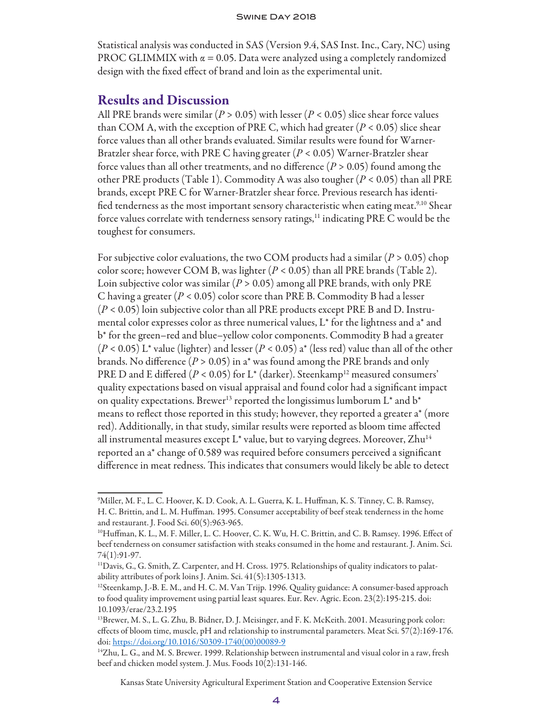Statistical analysis was conducted in SAS (Version 9.4, SAS Inst. Inc., Cary, NC) using PROC GLIMMIX with  $\alpha = 0.05$ . Data were analyzed using a completely randomized design with the fixed effect of brand and loin as the experimental unit.

### Results and Discussion

All PRE brands were similar (*P* > 0.05) with lesser (*P* < 0.05) slice shear force values than COM A, with the exception of PRE C, which had greater  $(P < 0.05)$  slice shear force values than all other brands evaluated. Similar results were found for Warner-Bratzler shear force, with PRE C having greater (*P* < 0.05) Warner-Bratzler shear force values than all other treatments, and no difference  $(P > 0.05)$  found among the other PRE products (Table 1). Commodity A was also tougher (*P* < 0.05) than all PRE brands, except PRE C for Warner-Bratzler shear force. Previous research has identified tenderness as the most important sensory characteristic when eating meat.<sup>9,10</sup> Shear force values correlate with tenderness sensory ratings,<sup>11</sup> indicating PRE C would be the toughest for consumers.

For subjective color evaluations, the two COM products had a similar (*P* > 0.05) chop color score; however COM B, was lighter  $(P < 0.05)$  than all PRE brands (Table 2). Loin subjective color was similar (*P* > 0.05) among all PRE brands, with only PRE C having a greater (*P* < 0.05) color score than PRE B. Commodity B had a lesser (*P* < 0.05) loin subjective color than all PRE products except PRE B and D. Instrumental color expresses color as three numerical values, L\* for the lightness and a\* and b\* for the green–red and blue–yellow color components. Commodity B had a greater (*P* < 0.05) L\* value (lighter) and lesser (*P* < 0.05) a\* (less red) value than all of the other brands. No difference (*P* > 0.05) in a\* was found among the PRE brands and only PRE D and E differed  $(P < 0.05)$  for L<sup>\*</sup> (darker). Steenkamp<sup>12</sup> measured consumers' quality expectations based on visual appraisal and found color had a significant impact on quality expectations. Brewer<sup>13</sup> reported the longissimus lumborum  $L^*$  and  $b^*$ means to reflect those reported in this study; however, they reported a greater a\* (more red). Additionally, in that study, similar results were reported as bloom time affected all instrumental measures except  $L^*$  value, but to varying degrees. Moreover,  $Zhu^{14}$ reported an a\* change of 0.589 was required before consumers perceived a significant difference in meat redness. This indicates that consumers would likely be able to detect

Kansas State University Agricultural Experiment Station and Cooperative Extension Service

<sup>9</sup> Miller, M. F., L. C. Hoover, K. D. Cook, A. L. Guerra, K. L. Huffman, K. S. Tinney, C. B. Ramsey, H. C. Brittin, and L. M. Huffman. 1995. Consumer acceptability of beef steak tenderness in the home and restaurant. J. Food Sci. 60(5):963-965.

<sup>10</sup>Huffman, K. L., M. F. Miller, L. C. Hoover, C. K. Wu, H. C. Brittin, and C. B. Ramsey. 1996. Effect of beef tenderness on consumer satisfaction with steaks consumed in the home and restaurant. J. Anim. Sci. 74(1):91-97.

<sup>11</sup>Davis, G., G. Smith, Z. Carpenter, and H. Cross. 1975. Relationships of quality indicators to palatability attributes of pork loins J. Anim. Sci. 41(5):1305-1313.

<sup>&</sup>lt;sup>12</sup>Steenkamp, J.-B. E. M., and H. C. M. Van Trijp. 1996. Quality guidance: A consumer-based approach to food quality improvement using partial least squares. Eur. Rev. Agric. Econ. 23(2):195-215. doi: 10.1093/erae/23.2.195

<sup>13</sup>Brewer, M. S., L. G. Zhu, B. Bidner, D. J. Meisinger, and F. K. McKeith. 2001. Measuring pork color: effects of bloom time, muscle, pH and relationship to instrumental parameters. Meat Sci. 57(2):169-176. doi: https://doi.org/10.1016/S0309-1740(00)00089-9

<sup>14</sup>Zhu, L. G., and M. S. Brewer. 1999. Relationship between instrumental and visual color in a raw, fresh beef and chicken model system. J. Mus. Foods 10(2):131-146.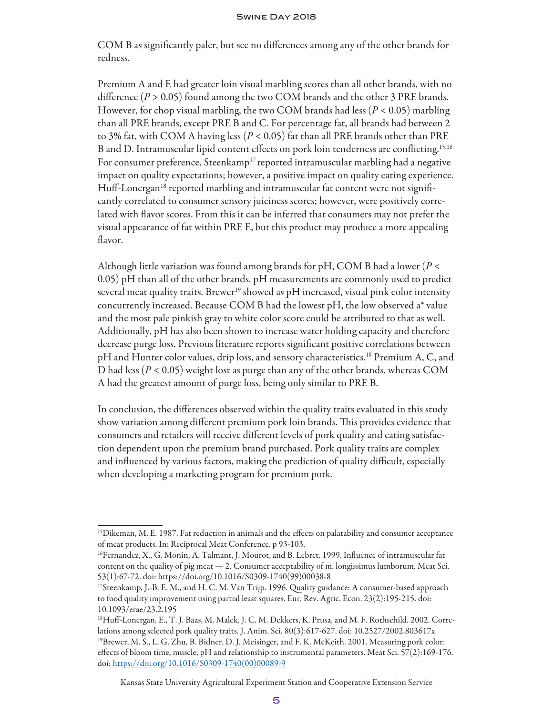COM B as significantly paler, but see no differences among any of the other brands for redness.

Premium A and E had greater loin visual marbling scores than all other brands, with no difference (*P* > 0.05) found among the two COM brands and the other 3 PRE brands. However, for chop visual marbling, the two COM brands had less (*P* < 0.05) marbling than all PRE brands, except PRE B and C. For percentage fat, all brands had between 2 to 3% fat, with COM A having less (*P* < 0.05) fat than all PRE brands other than PRE B and D. Intramuscular lipid content effects on pork loin tenderness are conflicting.15,16 For consumer preference, Steenkamp<sup>17</sup> reported intramuscular marbling had a negative impact on quality expectations; however, a positive impact on quality eating experience. Huff-Lonergan<sup>18</sup> reported marbling and intramuscular fat content were not significantly correlated to consumer sensory juiciness scores; however, were positively correlated with flavor scores. From this it can be inferred that consumers may not prefer the visual appearance of fat within PRE E, but this product may produce a more appealing flavor.

Although little variation was found among brands for pH, COM B had a lower (*P* < 0.05) pH than all of the other brands. pH measurements are commonly used to predict several meat quality traits. Brewer<sup>19</sup> showed as pH increased, visual pink color intensity concurrently increased. Because COM B had the lowest pH, the low observed a\* value and the most pale pinkish gray to white color score could be attributed to that as well. Additionally, pH has also been shown to increase water holding capacity and therefore decrease purge loss. Previous literature reports significant positive correlations between pH and Hunter color values, drip loss, and sensory characteristics.<sup>18</sup> Premium A, C, and D had less (*P* < 0.05) weight lost as purge than any of the other brands, whereas COM A had the greatest amount of purge loss, being only similar to PRE B.

In conclusion, the differences observed within the quality traits evaluated in this study show variation among different premium pork loin brands. This provides evidence that consumers and retailers will receive different levels of pork quality and eating satisfaction dependent upon the premium brand purchased. Pork quality traits are complex and influenced by various factors, making the prediction of quality difficult, especially when developing a marketing program for premium pork.

Kansas State University Agricultural Experiment Station and Cooperative Extension Service

<sup>&</sup>lt;sup>15</sup>Dikeman, M. E. 1987. Fat reduction in animals and the effects on palatability and consumer acceptance of meat products. In: Reciprocal Meat Conference. p 93-103.

<sup>16</sup>Fernandez, X., G. Monin, A. Talmant, J. Mourot, and B. Lebret. 1999. Influence of intramuscular fat content on the quality of pig meat — 2. Consumer acceptability of m. longissimus lumborum. Meat Sci. 53(1):67-72. doi: https://doi.org/10.1016/S0309-1740(99)00038-8

<sup>17</sup>Steenkamp, J.-B. E. M., and H. C. M. Van Trijp. 1996. Quality guidance: A consumer-based approach to food quality improvement using partial least squares. Eur. Rev. Agric. Econ. 23(2):195-215. doi: 10.1093/erae/23.2.195

<sup>18</sup>Huff-Lonergan, E., T. J. Baas, M. Malek, J. C. M. Dekkers, K. Prusa, and M. F. Rothschild. 2002. Correlations among selected pork quality traits. J. Anim. Sci. 80(3):617-627. doi: 10.2527/2002.803617x <sup>19</sup>Brewer, M. S., L. G. Zhu, B. Bidner, D. J. Meisinger, and F. K. McKeith. 2001. Measuring pork color: effects of bloom time, muscle, pH and relationship to instrumental parameters. Meat Sci. 57(2):169-176. doi: https://doi.org/10.1016/S0309-1740(00)00089-9